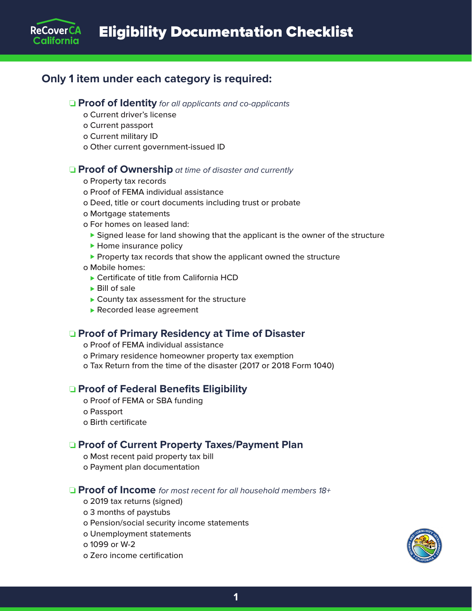# **Only 1 item under each category is required:**

#### ❏ **Proof of Identity** *for all applicants and co-applicants*

- o Current driver's license
- o Current passport

**ReCoverCA** California

- o Current military ID
- o Other current government-issued ID

#### **□ Proof of Ownership** at time of disaster and currently

- o Property tax records
- o Proof of FEMA individual assistance
- o Deed, title or court documents including trust or probate
- o Mortgage statements
- o For homes on leased land:
	- $\triangleright$  Signed lease for land showing that the applicant is the owner of the structure
	- $\blacktriangleright$  Home insurance policy
	- $\blacktriangleright$  Property tax records that show the applicant owned the structure
- o Mobile homes:
	- $\triangleright$  Certificate of title from California HCD
	- $\blacktriangleright$  Bill of sale
	- $\blacktriangleright$  County tax assessment for the structure
	- $\blacktriangleright$  Recorded lease agreement

#### ❏ **Proof of Primary Residency at Time of Disaster**

o Proof of FEMA individual assistance

o Primary residence homeowner property tax exemption o Tax Return from the time of the disaster (2017 or 2018 Form 1040)

### ❏ **Proof of Federal Benefits Eligibility**

o Proof of FEMA or SBA funding o Passport o Birth certificate

### ❏ **Proof of Current Property Taxes/Payment Plan**

o Most recent paid property tax bill

o Payment plan documentation

### ❏ **Proof of Income** *for most recent for all household members 18+*

- o 2019 tax returns (signed)
- o 3 months of paystubs
- o Pension/social security income statements
- o Unemployment statements
- o 1099 or W-2
- o Zero income certification